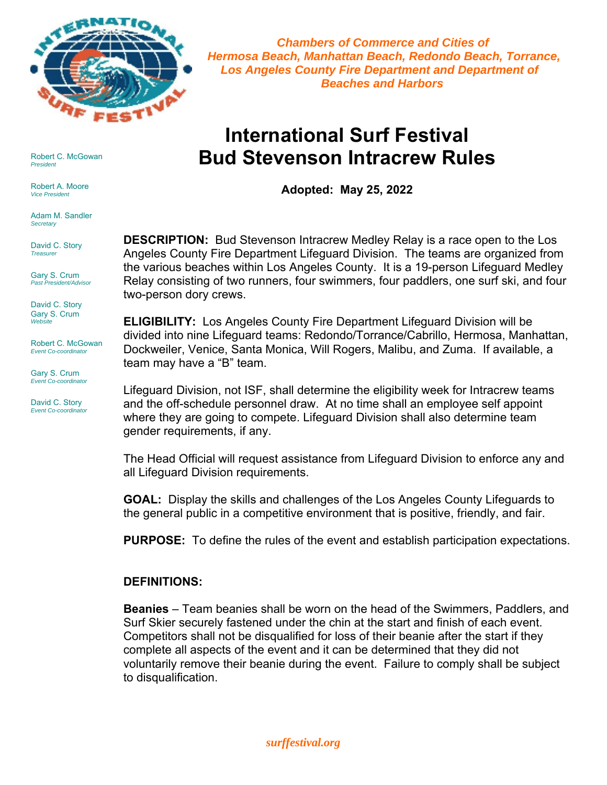

 *Chambers of Commerce and Cities of Hermosa Beach, Manhattan Beach, Redondo Beach, Torrance, Los Angeles County Fire Department and Department of Beaches and Harbors*

# **International Surf Festival Bud Stevenson Intracrew Rules**

**Adopted: May 25, 2022** 

**DESCRIPTION:** Bud Stevenson Intracrew Medley Relay is a race open to the Los Angeles County Fire Department Lifeguard Division. The teams are organized from the various beaches within Los Angeles County. It is a 19-person Lifeguard Medley Relay consisting of two runners, four swimmers, four paddlers, one surf ski, and four two-person dory crews.

**ELIGIBILITY:** Los Angeles County Fire Department Lifeguard Division will be divided into nine Lifeguard teams: Redondo/Torrance/Cabrillo, Hermosa, Manhattan, Dockweiler, Venice, Santa Monica, Will Rogers, Malibu, and Zuma. If available, a team may have a "B" team.

Lifeguard Division, not ISF, shall determine the eligibility week for Intracrew teams and the off-schedule personnel draw. At no time shall an employee self appoint where they are going to compete. Lifeguard Division shall also determine team gender requirements, if any.

The Head Official will request assistance from Lifeguard Division to enforce any and all Lifeguard Division requirements.

**GOAL:** Display the skills and challenges of the Los Angeles County Lifeguards to the general public in a competitive environment that is positive, friendly, and fair.

**PURPOSE:** To define the rules of the event and establish participation expectations.

## **DEFINITIONS:**

**Beanies** – Team beanies shall be worn on the head of the Swimmers, Paddlers, and Surf Skier securely fastened under the chin at the start and finish of each event. Competitors shall not be disqualified for loss of their beanie after the start if they complete all aspects of the event and it can be determined that they did not voluntarily remove their beanie during the event. Failure to comply shall be subject to disqualification.

Robert C. McGowan *President*

Robert A. Moore *Vice President*

Adam M. Sandler *Secretary*

David C. Story *Treasurer*

Gary S. Crum *Past President/Advisor*

David C. Story Gary S. Crum *Website*

Robert C. McGowan *Event Co-coordinator*

Gary S. Crum *Event Co-coordinator*

David C. Story *Event Co-coordinator*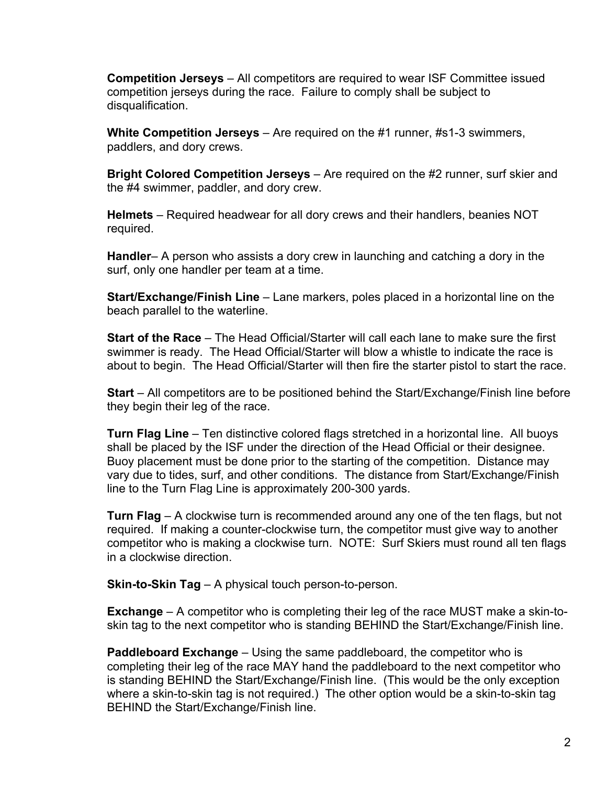**Competition Jerseys** – All competitors are required to wear ISF Committee issued competition jerseys during the race. Failure to comply shall be subject to disqualification.

**White Competition Jerseys** – Are required on the #1 runner, #s1-3 swimmers, paddlers, and dory crews.

**Bright Colored Competition Jerseys** – Are required on the #2 runner, surf skier and the #4 swimmer, paddler, and dory crew.

**Helmets** – Required headwear for all dory crews and their handlers, beanies NOT required.

**Handler**– A person who assists a dory crew in launching and catching a dory in the surf, only one handler per team at a time.

**Start/Exchange/Finish Line** – Lane markers, poles placed in a horizontal line on the beach parallel to the waterline.

**Start of the Race** – The Head Official/Starter will call each lane to make sure the first swimmer is ready. The Head Official/Starter will blow a whistle to indicate the race is about to begin. The Head Official/Starter will then fire the starter pistol to start the race.

**Start** – All competitors are to be positioned behind the Start/Exchange/Finish line before they begin their leg of the race.

**Turn Flag Line** – Ten distinctive colored flags stretched in a horizontal line. All buoys shall be placed by the ISF under the direction of the Head Official or their designee. Buoy placement must be done prior to the starting of the competition. Distance may vary due to tides, surf, and other conditions. The distance from Start/Exchange/Finish line to the Turn Flag Line is approximately 200-300 yards.

**Turn Flag** – A clockwise turn is recommended around any one of the ten flags, but not required. If making a counter-clockwise turn, the competitor must give way to another competitor who is making a clockwise turn. NOTE: Surf Skiers must round all ten flags in a clockwise direction.

**Skin-to-Skin Tag** – A physical touch person-to-person.

**Exchange** – A competitor who is completing their leg of the race MUST make a skin-toskin tag to the next competitor who is standing BEHIND the Start/Exchange/Finish line.

**Paddleboard Exchange** – Using the same paddleboard, the competitor who is completing their leg of the race MAY hand the paddleboard to the next competitor who is standing BEHIND the Start/Exchange/Finish line. (This would be the only exception where a skin-to-skin tag is not required.) The other option would be a skin-to-skin tag BEHIND the Start/Exchange/Finish line.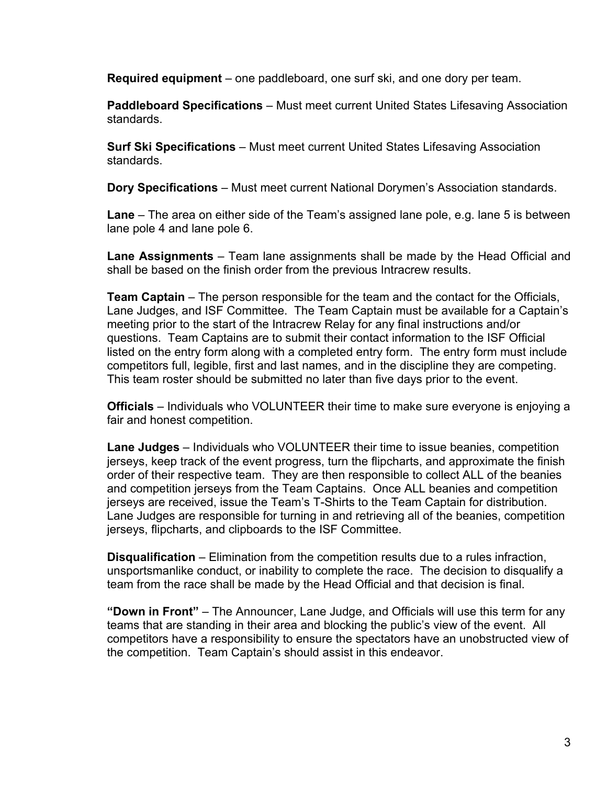**Required equipment** – one paddleboard, one surf ski, and one dory per team.

**Paddleboard Specifications** – Must meet current United States Lifesaving Association standards.

**Surf Ski Specifications** – Must meet current United States Lifesaving Association standards.

**Dory Specifications** – Must meet current National Dorymen's Association standards.

**Lane** – The area on either side of the Team's assigned lane pole, e.g. lane 5 is between lane pole 4 and lane pole 6.

**Lane Assignments** – Team lane assignments shall be made by the Head Official and shall be based on the finish order from the previous Intracrew results.

**Team Captain** – The person responsible for the team and the contact for the Officials, Lane Judges, and ISF Committee. The Team Captain must be available for a Captain's meeting prior to the start of the Intracrew Relay for any final instructions and/or questions. Team Captains are to submit their contact information to the ISF Official listed on the entry form along with a completed entry form. The entry form must include competitors full, legible, first and last names, and in the discipline they are competing. This team roster should be submitted no later than five days prior to the event.

**Officials** – Individuals who VOLUNTEER their time to make sure everyone is enjoying a fair and honest competition.

**Lane Judges** – Individuals who VOLUNTEER their time to issue beanies, competition jerseys, keep track of the event progress, turn the flipcharts, and approximate the finish order of their respective team. They are then responsible to collect ALL of the beanies and competition jerseys from the Team Captains. Once ALL beanies and competition jerseys are received, issue the Team's T-Shirts to the Team Captain for distribution. Lane Judges are responsible for turning in and retrieving all of the beanies, competition jerseys, flipcharts, and clipboards to the ISF Committee.

**Disqualification** – Elimination from the competition results due to a rules infraction, unsportsmanlike conduct, or inability to complete the race. The decision to disqualify a team from the race shall be made by the Head Official and that decision is final.

**"Down in Front"** – The Announcer, Lane Judge, and Officials will use this term for any teams that are standing in their area and blocking the public's view of the event. All competitors have a responsibility to ensure the spectators have an unobstructed view of the competition. Team Captain's should assist in this endeavor.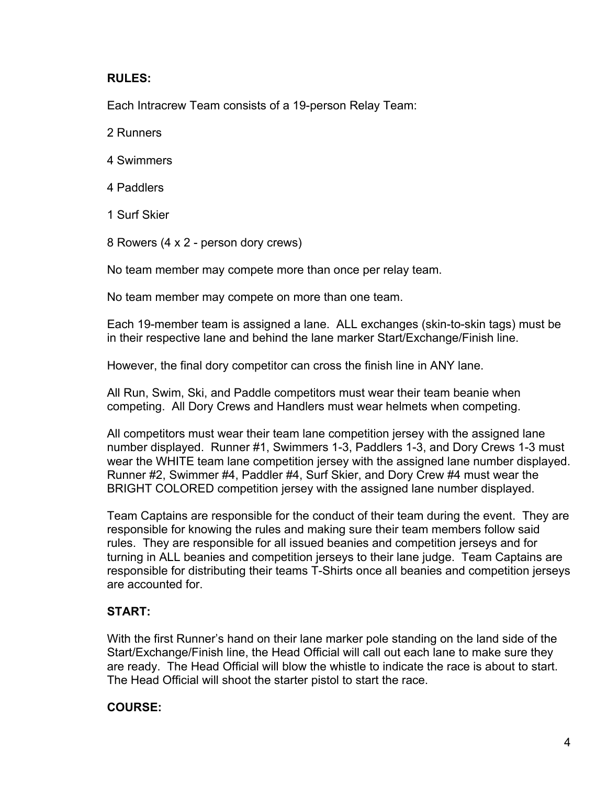#### **RULES:**

Each Intracrew Team consists of a 19-person Relay Team:

2 Runners

- 4 Swimmers
- 4 Paddlers
- 1 Surf Skier
- 8 Rowers (4 x 2 person dory crews)

No team member may compete more than once per relay team.

No team member may compete on more than one team.

Each 19-member team is assigned a lane. ALL exchanges (skin-to-skin tags) must be in their respective lane and behind the lane marker Start/Exchange/Finish line.

However, the final dory competitor can cross the finish line in ANY lane.

All Run, Swim, Ski, and Paddle competitors must wear their team beanie when competing. All Dory Crews and Handlers must wear helmets when competing.

All competitors must wear their team lane competition jersey with the assigned lane number displayed. Runner #1, Swimmers 1-3, Paddlers 1-3, and Dory Crews 1-3 must wear the WHITE team lane competition jersey with the assigned lane number displayed. Runner #2, Swimmer #4, Paddler #4, Surf Skier, and Dory Crew #4 must wear the BRIGHT COLORED competition jersey with the assigned lane number displayed.

Team Captains are responsible for the conduct of their team during the event. They are responsible for knowing the rules and making sure their team members follow said rules. They are responsible for all issued beanies and competition jerseys and for turning in ALL beanies and competition jerseys to their lane judge. Team Captains are responsible for distributing their teams T-Shirts once all beanies and competition jerseys are accounted for.

## **START:**

With the first Runner's hand on their lane marker pole standing on the land side of the Start/Exchange/Finish line, the Head Official will call out each lane to make sure they are ready. The Head Official will blow the whistle to indicate the race is about to start. The Head Official will shoot the starter pistol to start the race.

#### **COURSE:**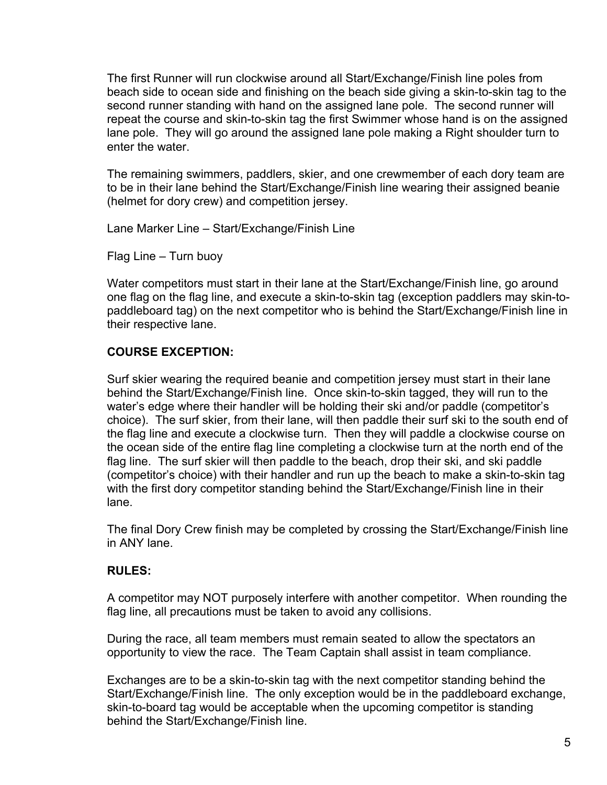The first Runner will run clockwise around all Start/Exchange/Finish line poles from beach side to ocean side and finishing on the beach side giving a skin-to-skin tag to the second runner standing with hand on the assigned lane pole. The second runner will repeat the course and skin-to-skin tag the first Swimmer whose hand is on the assigned lane pole. They will go around the assigned lane pole making a Right shoulder turn to enter the water.

The remaining swimmers, paddlers, skier, and one crewmember of each dory team are to be in their lane behind the Start/Exchange/Finish line wearing their assigned beanie (helmet for dory crew) and competition jersey.

Lane Marker Line – Start/Exchange/Finish Line

Flag Line – Turn buoy

Water competitors must start in their lane at the Start/Exchange/Finish line, go around one flag on the flag line, and execute a skin-to-skin tag (exception paddlers may skin-topaddleboard tag) on the next competitor who is behind the Start/Exchange/Finish line in their respective lane.

## **COURSE EXCEPTION:**

Surf skier wearing the required beanie and competition jersey must start in their lane behind the Start/Exchange/Finish line. Once skin-to-skin tagged, they will run to the water's edge where their handler will be holding their ski and/or paddle (competitor's choice). The surf skier, from their lane, will then paddle their surf ski to the south end of the flag line and execute a clockwise turn. Then they will paddle a clockwise course on the ocean side of the entire flag line completing a clockwise turn at the north end of the flag line. The surf skier will then paddle to the beach, drop their ski, and ski paddle (competitor's choice) with their handler and run up the beach to make a skin-to-skin tag with the first dory competitor standing behind the Start/Exchange/Finish line in their lane.

The final Dory Crew finish may be completed by crossing the Start/Exchange/Finish line in ANY lane.

#### **RULES:**

A competitor may NOT purposely interfere with another competitor. When rounding the flag line, all precautions must be taken to avoid any collisions.

During the race, all team members must remain seated to allow the spectators an opportunity to view the race. The Team Captain shall assist in team compliance.

Exchanges are to be a skin-to-skin tag with the next competitor standing behind the Start/Exchange/Finish line. The only exception would be in the paddleboard exchange, skin-to-board tag would be acceptable when the upcoming competitor is standing behind the Start/Exchange/Finish line.